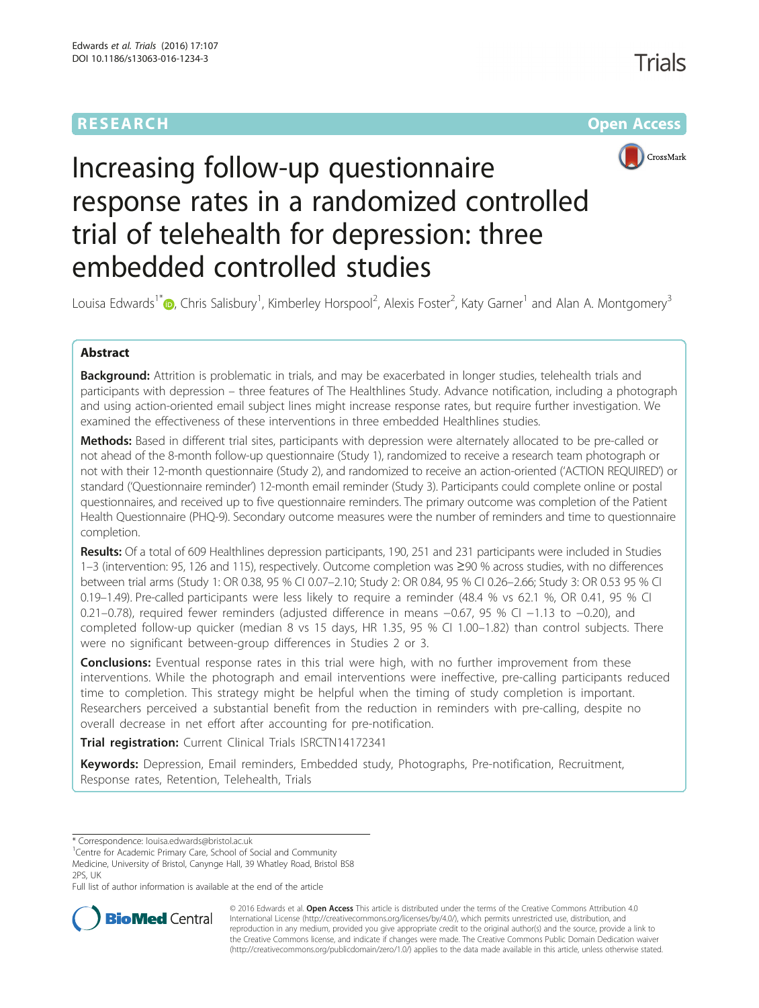# **RESEARCH CHE Open Access**



# Increasing follow-up questionnaire response rates in a randomized controlled trial of telehealth for depression: three embedded controlled studies

Louisa Edwards<sup>1\*</sup> D[,](http://orcid.org/0000-0001-9371-2805) Chris Salisbury<sup>1</sup>, Kimberley Horspool<sup>2</sup>, Alexis Foster<sup>2</sup>, Katy Garner<sup>1</sup> and Alan A. Montgomery<sup>3</sup>

# Abstract

Background: Attrition is problematic in trials, and may be exacerbated in longer studies, telehealth trials and participants with depression – three features of The Healthlines Study. Advance notification, including a photograph and using action-oriented email subject lines might increase response rates, but require further investigation. We examined the effectiveness of these interventions in three embedded Healthlines studies.

Methods: Based in different trial sites, participants with depression were alternately allocated to be pre-called or not ahead of the 8-month follow-up questionnaire (Study 1), randomized to receive a research team photograph or not with their 12-month questionnaire (Study 2), and randomized to receive an action-oriented ('ACTION REQUIRED') or standard ('Questionnaire reminder') 12-month email reminder (Study 3). Participants could complete online or postal questionnaires, and received up to five questionnaire reminders. The primary outcome was completion of the Patient Health Questionnaire (PHQ-9). Secondary outcome measures were the number of reminders and time to questionnaire completion.

Results: Of a total of 609 Healthlines depression participants, 190, 251 and 231 participants were included in Studies 1–3 (intervention: 95, 126 and 115), respectively. Outcome completion was ≥90 % across studies, with no differences between trial arms (Study 1: OR 0.38, 95 % CI 0.07–2.10; Study 2: OR 0.84, 95 % CI 0.26–2.66; Study 3: OR 0.53 95 % CI 0.19–1.49). Pre-called participants were less likely to require a reminder (48.4 % vs 62.1 %, OR 0.41, 95 % CI 0.21–0.78), required fewer reminders (adjusted difference in means −0.67, 95 % CI −1.13 to −0.20), and completed follow-up quicker (median 8 vs 15 days, HR 1.35, 95 % CI 1.00–1.82) than control subjects. There were no significant between-group differences in Studies 2 or 3.

**Conclusions:** Eventual response rates in this trial were high, with no further improvement from these interventions. While the photograph and email interventions were ineffective, pre-calling participants reduced time to completion. This strategy might be helpful when the timing of study completion is important. Researchers perceived a substantial benefit from the reduction in reminders with pre-calling, despite no overall decrease in net effort after accounting for pre-notification.

Trial registration: Current Clinical Trials [ISRCTN14172341](http://www.controlled-trials.com/ISRCTN14172341)

Keywords: Depression, Email reminders, Embedded study, Photographs, Pre-notification, Recruitment, Response rates, Retention, Telehealth, Trials

<sup>1</sup> Centre for Academic Primary Care, School of Social and Community Medicine, University of Bristol, Canynge Hall, 39 Whatley Road, Bristol BS8 2PS, UK

Full list of author information is available at the end of the article



© 2016 Edwards et al. Open Access This article is distributed under the terms of the Creative Commons Attribution 4.0 International License [\(http://creativecommons.org/licenses/by/4.0/](http://creativecommons.org/licenses/by/4.0/)), which permits unrestricted use, distribution, and reproduction in any medium, provided you give appropriate credit to the original author(s) and the source, provide a link to the Creative Commons license, and indicate if changes were made. The Creative Commons Public Domain Dedication waiver [\(http://creativecommons.org/publicdomain/zero/1.0/](http://creativecommons.org/publicdomain/zero/1.0/)) applies to the data made available in this article, unless otherwise stated.

<sup>\*</sup> Correspondence: [louisa.edwards@bristol.ac.uk](mailto:louisa.edwards@bristol.ac.uk) <sup>1</sup>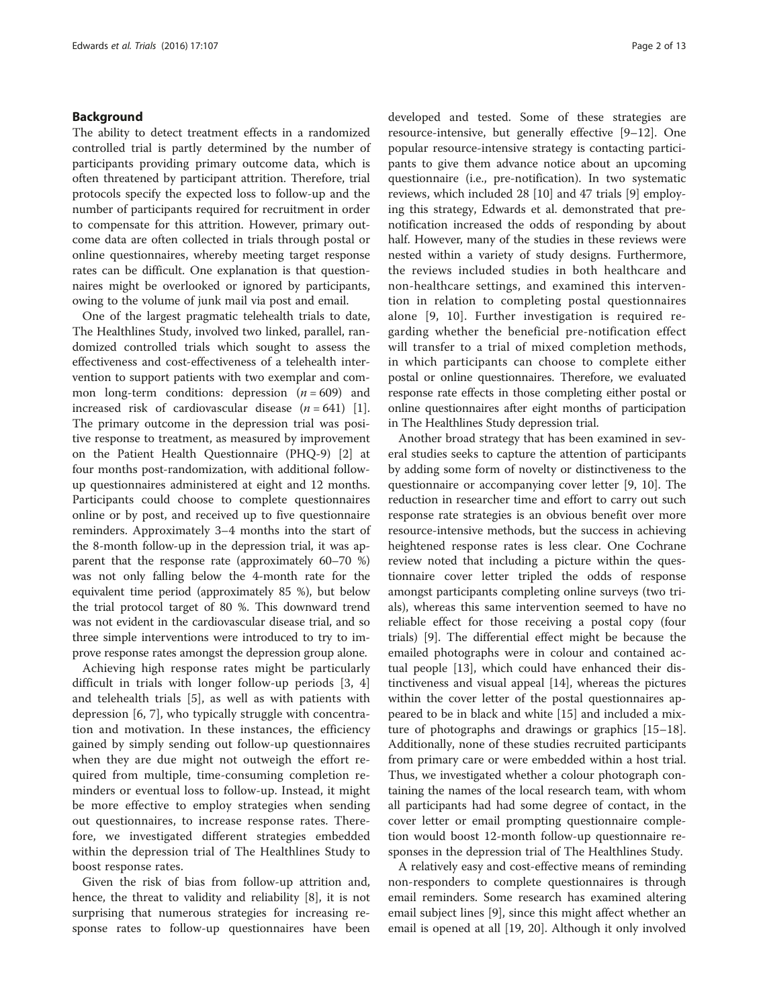## Background

The ability to detect treatment effects in a randomized controlled trial is partly determined by the number of participants providing primary outcome data, which is often threatened by participant attrition. Therefore, trial protocols specify the expected loss to follow-up and the number of participants required for recruitment in order to compensate for this attrition. However, primary outcome data are often collected in trials through postal or online questionnaires, whereby meeting target response rates can be difficult. One explanation is that questionnaires might be overlooked or ignored by participants, owing to the volume of junk mail via post and email.

One of the largest pragmatic telehealth trials to date, The Healthlines Study, involved two linked, parallel, randomized controlled trials which sought to assess the effectiveness and cost-effectiveness of a telehealth intervention to support patients with two exemplar and common long-term conditions: depression  $(n = 609)$  and increased risk of cardiovascular disease  $(n = 641)$  [\[1](#page-12-0)]. The primary outcome in the depression trial was positive response to treatment, as measured by improvement on the Patient Health Questionnaire (PHQ-9) [[2\]](#page-12-0) at four months post-randomization, with additional followup questionnaires administered at eight and 12 months. Participants could choose to complete questionnaires online or by post, and received up to five questionnaire reminders. Approximately 3–4 months into the start of the 8-month follow-up in the depression trial, it was apparent that the response rate (approximately 60–70 %) was not only falling below the 4-month rate for the equivalent time period (approximately 85 %), but below the trial protocol target of 80 %. This downward trend was not evident in the cardiovascular disease trial, and so three simple interventions were introduced to try to improve response rates amongst the depression group alone.

Achieving high response rates might be particularly difficult in trials with longer follow-up periods [\[3](#page-12-0), [4](#page-12-0)] and telehealth trials [[5](#page-12-0)], as well as with patients with depression [\[6](#page-12-0), [7](#page-12-0)], who typically struggle with concentration and motivation. In these instances, the efficiency gained by simply sending out follow-up questionnaires when they are due might not outweigh the effort required from multiple, time-consuming completion reminders or eventual loss to follow-up. Instead, it might be more effective to employ strategies when sending out questionnaires, to increase response rates. Therefore, we investigated different strategies embedded within the depression trial of The Healthlines Study to boost response rates.

Given the risk of bias from follow-up attrition and, hence, the threat to validity and reliability [\[8](#page-12-0)], it is not surprising that numerous strategies for increasing response rates to follow-up questionnaires have been

developed and tested. Some of these strategies are resource-intensive, but generally effective [[9](#page-12-0)–[12](#page-12-0)]. One popular resource-intensive strategy is contacting participants to give them advance notice about an upcoming questionnaire (i.e., pre-notification). In two systematic reviews, which included 28 [\[10](#page-12-0)] and 47 trials [\[9](#page-12-0)] employing this strategy, Edwards et al. demonstrated that prenotification increased the odds of responding by about half. However, many of the studies in these reviews were nested within a variety of study designs. Furthermore, the reviews included studies in both healthcare and non-healthcare settings, and examined this intervention in relation to completing postal questionnaires alone [[9](#page-12-0), [10\]](#page-12-0). Further investigation is required regarding whether the beneficial pre-notification effect will transfer to a trial of mixed completion methods, in which participants can choose to complete either postal or online questionnaires. Therefore, we evaluated response rate effects in those completing either postal or online questionnaires after eight months of participation in The Healthlines Study depression trial.

Another broad strategy that has been examined in several studies seeks to capture the attention of participants by adding some form of novelty or distinctiveness to the questionnaire or accompanying cover letter [[9, 10](#page-12-0)]. The reduction in researcher time and effort to carry out such response rate strategies is an obvious benefit over more resource-intensive methods, but the success in achieving heightened response rates is less clear. One Cochrane review noted that including a picture within the questionnaire cover letter tripled the odds of response amongst participants completing online surveys (two trials), whereas this same intervention seemed to have no reliable effect for those receiving a postal copy (four trials) [[9\]](#page-12-0). The differential effect might be because the emailed photographs were in colour and contained actual people [[13\]](#page-12-0), which could have enhanced their distinctiveness and visual appeal [\[14](#page-12-0)], whereas the pictures within the cover letter of the postal questionnaires appeared to be in black and white [\[15](#page-12-0)] and included a mixture of photographs and drawings or graphics [[15](#page-12-0)–[18](#page-12-0)]. Additionally, none of these studies recruited participants from primary care or were embedded within a host trial. Thus, we investigated whether a colour photograph containing the names of the local research team, with whom all participants had had some degree of contact, in the cover letter or email prompting questionnaire completion would boost 12-month follow-up questionnaire responses in the depression trial of The Healthlines Study.

A relatively easy and cost-effective means of reminding non-responders to complete questionnaires is through email reminders. Some research has examined altering email subject lines [\[9](#page-12-0)], since this might affect whether an email is opened at all [\[19](#page-12-0), [20](#page-12-0)]. Although it only involved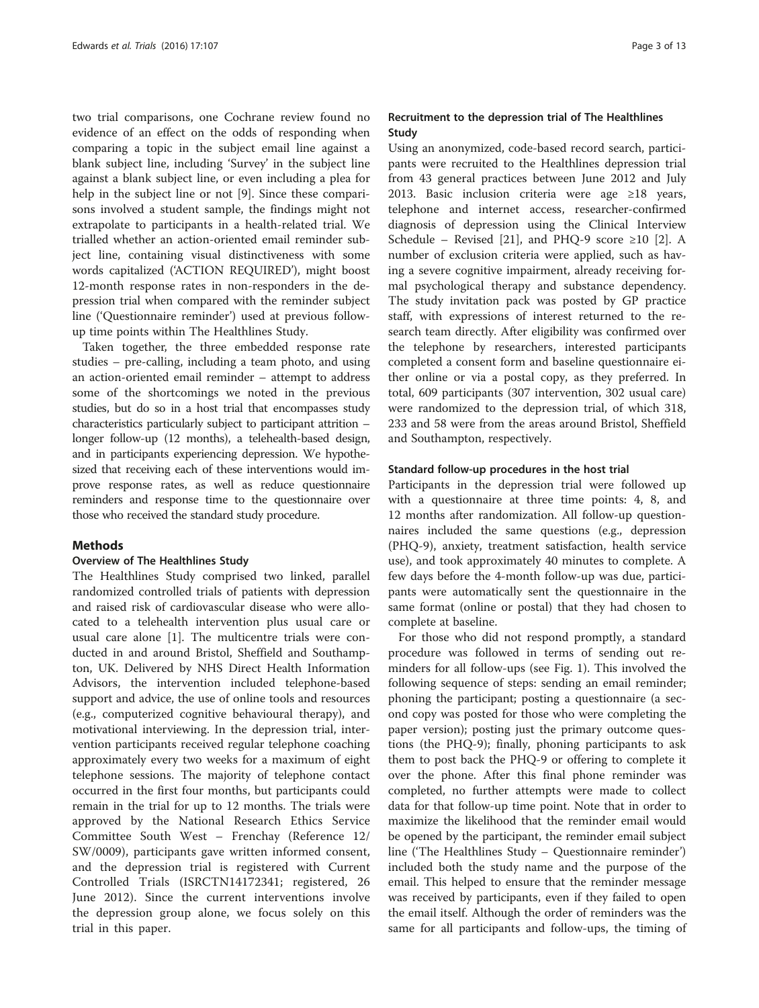two trial comparisons, one Cochrane review found no evidence of an effect on the odds of responding when comparing a topic in the subject email line against a blank subject line, including 'Survey' in the subject line against a blank subject line, or even including a plea for help in the subject line or not [\[9](#page-12-0)]. Since these comparisons involved a student sample, the findings might not extrapolate to participants in a health-related trial. We trialled whether an action-oriented email reminder subject line, containing visual distinctiveness with some words capitalized ('ACTION REQUIRED'), might boost 12-month response rates in non-responders in the depression trial when compared with the reminder subject line ('Questionnaire reminder') used at previous followup time points within The Healthlines Study.

Taken together, the three embedded response rate studies – pre-calling, including a team photo, and using an action-oriented email reminder – attempt to address some of the shortcomings we noted in the previous studies, but do so in a host trial that encompasses study characteristics particularly subject to participant attrition – longer follow-up (12 months), a telehealth-based design, and in participants experiencing depression. We hypothesized that receiving each of these interventions would improve response rates, as well as reduce questionnaire reminders and response time to the questionnaire over those who received the standard study procedure.

#### **Methods**

#### Overview of The Healthlines Study

The Healthlines Study comprised two linked, parallel randomized controlled trials of patients with depression and raised risk of cardiovascular disease who were allocated to a telehealth intervention plus usual care or usual care alone [[1](#page-12-0)]. The multicentre trials were conducted in and around Bristol, Sheffield and Southampton, UK. Delivered by NHS Direct Health Information Advisors, the intervention included telephone-based support and advice, the use of online tools and resources (e.g., computerized cognitive behavioural therapy), and motivational interviewing. In the depression trial, intervention participants received regular telephone coaching approximately every two weeks for a maximum of eight telephone sessions. The majority of telephone contact occurred in the first four months, but participants could remain in the trial for up to 12 months. The trials were approved by the National Research Ethics Service Committee South West – Frenchay (Reference 12/ SW/0009), participants gave written informed consent, and the depression trial is registered with Current Controlled Trials (ISRCTN14172341; registered, 26 June 2012). Since the current interventions involve the depression group alone, we focus solely on this trial in this paper.

# Recruitment to the depression trial of The Healthlines Study

Using an anonymized, code-based record search, participants were recruited to the Healthlines depression trial from 43 general practices between June 2012 and July 2013. Basic inclusion criteria were age ≥18 years, telephone and internet access, researcher-confirmed diagnosis of depression using the Clinical Interview Schedule – Revised [\[21\]](#page-12-0), and PHQ-9 score ≥10 [[2\]](#page-12-0). A number of exclusion criteria were applied, such as having a severe cognitive impairment, already receiving formal psychological therapy and substance dependency. The study invitation pack was posted by GP practice staff, with expressions of interest returned to the research team directly. After eligibility was confirmed over the telephone by researchers, interested participants completed a consent form and baseline questionnaire either online or via a postal copy, as they preferred. In total, 609 participants (307 intervention, 302 usual care) were randomized to the depression trial, of which 318, 233 and 58 were from the areas around Bristol, Sheffield and Southampton, respectively.

#### Standard follow-up procedures in the host trial

Participants in the depression trial were followed up with a questionnaire at three time points: 4, 8, and 12 months after randomization. All follow-up questionnaires included the same questions (e.g., depression (PHQ-9), anxiety, treatment satisfaction, health service use), and took approximately 40 minutes to complete. A few days before the 4-month follow-up was due, participants were automatically sent the questionnaire in the same format (online or postal) that they had chosen to complete at baseline.

For those who did not respond promptly, a standard procedure was followed in terms of sending out reminders for all follow-ups (see Fig. [1\)](#page-3-0). This involved the following sequence of steps: sending an email reminder; phoning the participant; posting a questionnaire (a second copy was posted for those who were completing the paper version); posting just the primary outcome questions (the PHQ-9); finally, phoning participants to ask them to post back the PHQ-9 or offering to complete it over the phone. After this final phone reminder was completed, no further attempts were made to collect data for that follow-up time point. Note that in order to maximize the likelihood that the reminder email would be opened by the participant, the reminder email subject line ('The Healthlines Study – Questionnaire reminder') included both the study name and the purpose of the email. This helped to ensure that the reminder message was received by participants, even if they failed to open the email itself. Although the order of reminders was the same for all participants and follow-ups, the timing of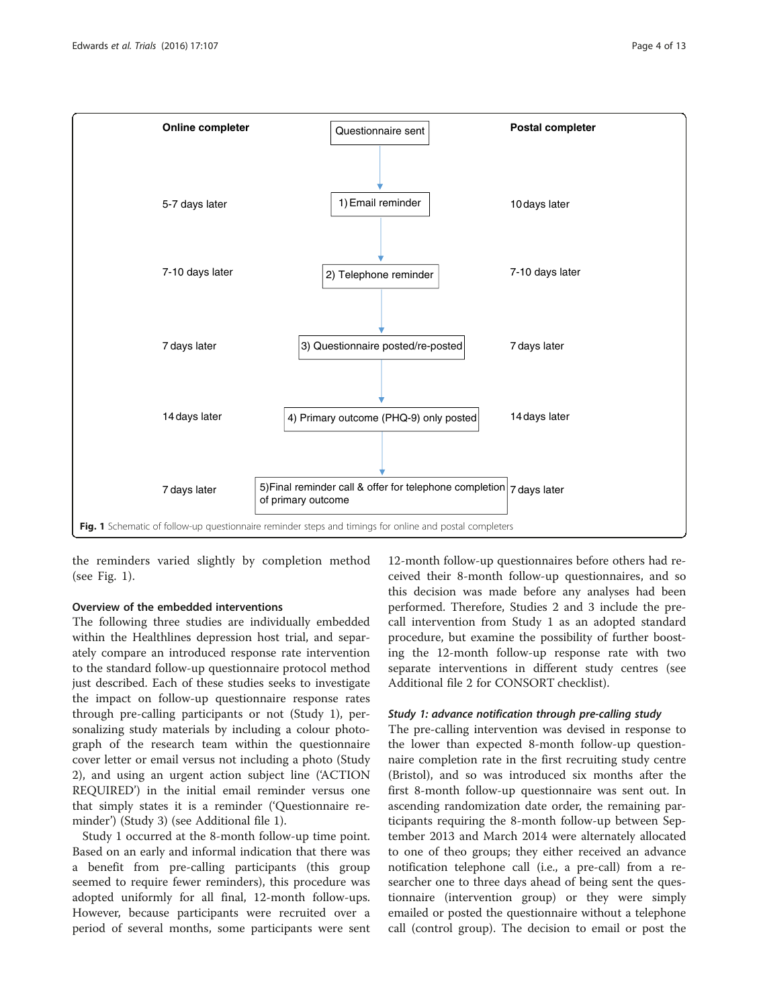<span id="page-3-0"></span>

the reminders varied slightly by completion method (see Fig. 1).

# Overview of the embedded interventions

The following three studies are individually embedded within the Healthlines depression host trial, and separately compare an introduced response rate intervention to the standard follow-up questionnaire protocol method just described. Each of these studies seeks to investigate the impact on follow-up questionnaire response rates through pre-calling participants or not (Study 1), personalizing study materials by including a colour photograph of the research team within the questionnaire cover letter or email versus not including a photo (Study 2), and using an urgent action subject line ('ACTION REQUIRED') in the initial email reminder versus one that simply states it is a reminder ('Questionnaire reminder') (Study 3) (see Additional file [1\)](#page-11-0).

Study 1 occurred at the 8-month follow-up time point. Based on an early and informal indication that there was a benefit from pre-calling participants (this group seemed to require fewer reminders), this procedure was adopted uniformly for all final, 12-month follow-ups. However, because participants were recruited over a period of several months, some participants were sent

12-month follow-up questionnaires before others had received their 8-month follow-up questionnaires, and so this decision was made before any analyses had been performed. Therefore, Studies 2 and 3 include the precall intervention from Study 1 as an adopted standard procedure, but examine the possibility of further boosting the 12-month follow-up response rate with two separate interventions in different study centres (see Additional file [2](#page-11-0) for CONSORT checklist).

### Study 1: advance notification through pre-calling study

The pre-calling intervention was devised in response to the lower than expected 8-month follow-up questionnaire completion rate in the first recruiting study centre (Bristol), and so was introduced six months after the first 8-month follow-up questionnaire was sent out. In ascending randomization date order, the remaining participants requiring the 8-month follow-up between September 2013 and March 2014 were alternately allocated to one of theo groups; they either received an advance notification telephone call (i.e., a pre-call) from a researcher one to three days ahead of being sent the questionnaire (intervention group) or they were simply emailed or posted the questionnaire without a telephone call (control group). The decision to email or post the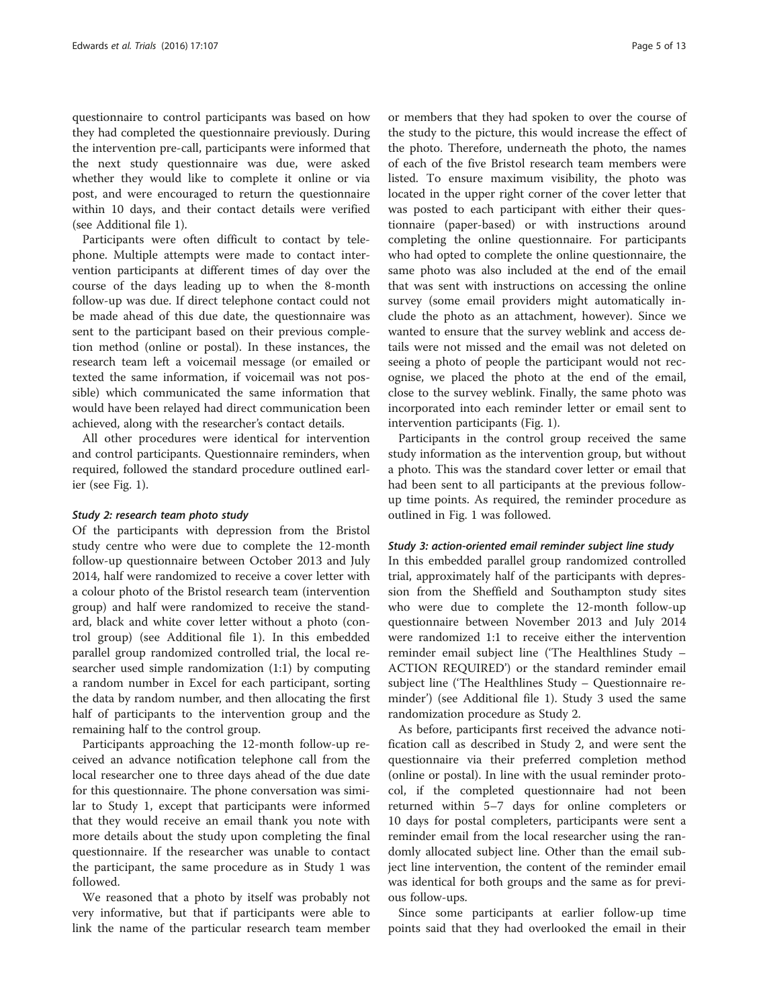questionnaire to control participants was based on how they had completed the questionnaire previously. During the intervention pre-call, participants were informed that the next study questionnaire was due, were asked whether they would like to complete it online or via post, and were encouraged to return the questionnaire within 10 days, and their contact details were verified (see Additional file [1\)](#page-11-0).

Participants were often difficult to contact by telephone. Multiple attempts were made to contact intervention participants at different times of day over the course of the days leading up to when the 8-month follow-up was due. If direct telephone contact could not be made ahead of this due date, the questionnaire was sent to the participant based on their previous completion method (online or postal). In these instances, the research team left a voicemail message (or emailed or texted the same information, if voicemail was not possible) which communicated the same information that would have been relayed had direct communication been achieved, along with the researcher's contact details.

All other procedures were identical for intervention and control participants. Questionnaire reminders, when required, followed the standard procedure outlined earlier (see Fig. [1](#page-3-0)).

#### Study 2: research team photo study

Of the participants with depression from the Bristol study centre who were due to complete the 12-month follow-up questionnaire between October 2013 and July 2014, half were randomized to receive a cover letter with a colour photo of the Bristol research team (intervention group) and half were randomized to receive the standard, black and white cover letter without a photo (control group) (see Additional file [1\)](#page-11-0). In this embedded parallel group randomized controlled trial, the local researcher used simple randomization (1:1) by computing a random number in Excel for each participant, sorting the data by random number, and then allocating the first half of participants to the intervention group and the remaining half to the control group.

Participants approaching the 12-month follow-up received an advance notification telephone call from the local researcher one to three days ahead of the due date for this questionnaire. The phone conversation was similar to Study 1, except that participants were informed that they would receive an email thank you note with more details about the study upon completing the final questionnaire. If the researcher was unable to contact the participant, the same procedure as in Study 1 was followed.

We reasoned that a photo by itself was probably not very informative, but that if participants were able to link the name of the particular research team member

or members that they had spoken to over the course of the study to the picture, this would increase the effect of the photo. Therefore, underneath the photo, the names of each of the five Bristol research team members were listed. To ensure maximum visibility, the photo was located in the upper right corner of the cover letter that was posted to each participant with either their questionnaire (paper-based) or with instructions around completing the online questionnaire. For participants who had opted to complete the online questionnaire, the same photo was also included at the end of the email that was sent with instructions on accessing the online survey (some email providers might automatically include the photo as an attachment, however). Since we wanted to ensure that the survey weblink and access details were not missed and the email was not deleted on seeing a photo of people the participant would not recognise, we placed the photo at the end of the email, close to the survey weblink. Finally, the same photo was incorporated into each reminder letter or email sent to intervention participants (Fig. [1](#page-3-0)).

Participants in the control group received the same study information as the intervention group, but without a photo. This was the standard cover letter or email that had been sent to all participants at the previous followup time points. As required, the reminder procedure as outlined in Fig. [1](#page-3-0) was followed.

#### Study 3: action-oriented email reminder subject line study

In this embedded parallel group randomized controlled trial, approximately half of the participants with depression from the Sheffield and Southampton study sites who were due to complete the 12-month follow-up questionnaire between November 2013 and July 2014 were randomized 1:1 to receive either the intervention reminder email subject line ('The Healthlines Study – ACTION REQUIRED') or the standard reminder email subject line ('The Healthlines Study – Questionnaire reminder') (see Additional file [1](#page-11-0)). Study 3 used the same randomization procedure as Study 2.

As before, participants first received the advance notification call as described in Study 2, and were sent the questionnaire via their preferred completion method (online or postal). In line with the usual reminder protocol, if the completed questionnaire had not been returned within 5–7 days for online completers or 10 days for postal completers, participants were sent a reminder email from the local researcher using the randomly allocated subject line. Other than the email subject line intervention, the content of the reminder email was identical for both groups and the same as for previous follow-ups.

Since some participants at earlier follow-up time points said that they had overlooked the email in their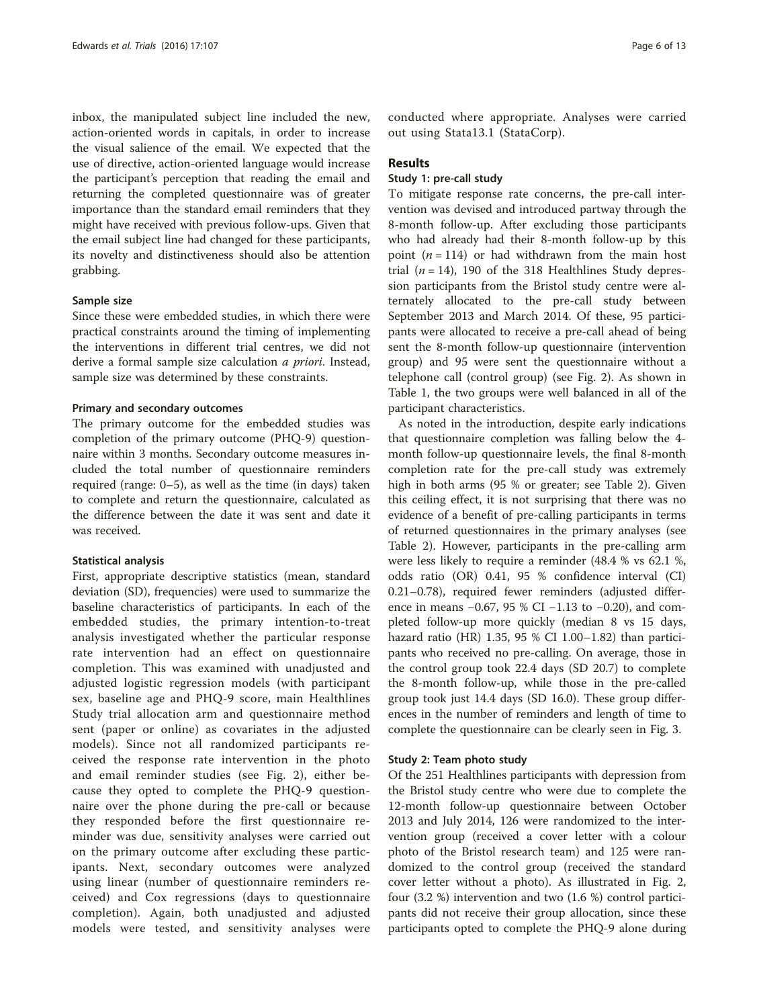inbox, the manipulated subject line included the new, action-oriented words in capitals, in order to increase the visual salience of the email. We expected that the use of directive, action-oriented language would increase the participant's perception that reading the email and returning the completed questionnaire was of greater importance than the standard email reminders that they might have received with previous follow-ups. Given that the email subject line had changed for these participants, its novelty and distinctiveness should also be attention grabbing.

#### Sample size

Since these were embedded studies, in which there were practical constraints around the timing of implementing the interventions in different trial centres, we did not derive a formal sample size calculation a priori. Instead, sample size was determined by these constraints.

#### Primary and secondary outcomes

The primary outcome for the embedded studies was completion of the primary outcome (PHQ-9) questionnaire within 3 months. Secondary outcome measures included the total number of questionnaire reminders required (range: 0–5), as well as the time (in days) taken to complete and return the questionnaire, calculated as the difference between the date it was sent and date it was received.

#### Statistical analysis

First, appropriate descriptive statistics (mean, standard deviation (SD), frequencies) were used to summarize the baseline characteristics of participants. In each of the embedded studies, the primary intention-to-treat analysis investigated whether the particular response rate intervention had an effect on questionnaire completion. This was examined with unadjusted and adjusted logistic regression models (with participant sex, baseline age and PHQ-9 score, main Healthlines Study trial allocation arm and questionnaire method sent (paper or online) as covariates in the adjusted models). Since not all randomized participants received the response rate intervention in the photo and email reminder studies (see Fig. [2](#page-6-0)), either because they opted to complete the PHQ-9 questionnaire over the phone during the pre-call or because they responded before the first questionnaire reminder was due, sensitivity analyses were carried out on the primary outcome after excluding these participants. Next, secondary outcomes were analyzed using linear (number of questionnaire reminders received) and Cox regressions (days to questionnaire completion). Again, both unadjusted and adjusted models were tested, and sensitivity analyses were conducted where appropriate. Analyses were carried out using Stata13.1 (StataCorp).

#### Results

# Study 1: pre-call study

To mitigate response rate concerns, the pre-call intervention was devised and introduced partway through the 8-month follow-up. After excluding those participants who had already had their 8-month follow-up by this point  $(n = 114)$  or had withdrawn from the main host trial  $(n = 14)$ , 190 of the 318 Healthlines Study depression participants from the Bristol study centre were alternately allocated to the pre-call study between September 2013 and March 2014. Of these, 95 participants were allocated to receive a pre-call ahead of being sent the 8-month follow-up questionnaire (intervention group) and 95 were sent the questionnaire without a telephone call (control group) (see Fig. [2\)](#page-6-0). As shown in Table [1](#page-6-0), the two groups were well balanced in all of the participant characteristics.

As noted in the introduction, despite early indications that questionnaire completion was falling below the 4 month follow-up questionnaire levels, the final 8-month completion rate for the pre-call study was extremely high in both arms (95 % or greater; see Table [2](#page-7-0)). Given this ceiling effect, it is not surprising that there was no evidence of a benefit of pre-calling participants in terms of returned questionnaires in the primary analyses (see Table [2\)](#page-7-0). However, participants in the pre-calling arm were less likely to require a reminder (48.4 % vs 62.1 %, odds ratio (OR) 0.41, 95 % confidence interval (CI) 0.21–0.78), required fewer reminders (adjusted difference in means −0.67, 95 % CI −1.13 to −0.20), and completed follow-up more quickly (median 8 vs 15 days, hazard ratio (HR) 1.35, 95 % CI 1.00–1.82) than participants who received no pre-calling. On average, those in the control group took 22.4 days (SD 20.7) to complete the 8-month follow-up, while those in the pre-called group took just 14.4 days (SD 16.0). These group differences in the number of reminders and length of time to complete the questionnaire can be clearly seen in Fig. [3.](#page-7-0)

#### Study 2: Team photo study

Of the 251 Healthlines participants with depression from the Bristol study centre who were due to complete the 12-month follow-up questionnaire between October 2013 and July 2014, 126 were randomized to the intervention group (received a cover letter with a colour photo of the Bristol research team) and 125 were randomized to the control group (received the standard cover letter without a photo). As illustrated in Fig. [2](#page-6-0), four (3.2 %) intervention and two (1.6 %) control participants did not receive their group allocation, since these participants opted to complete the PHQ-9 alone during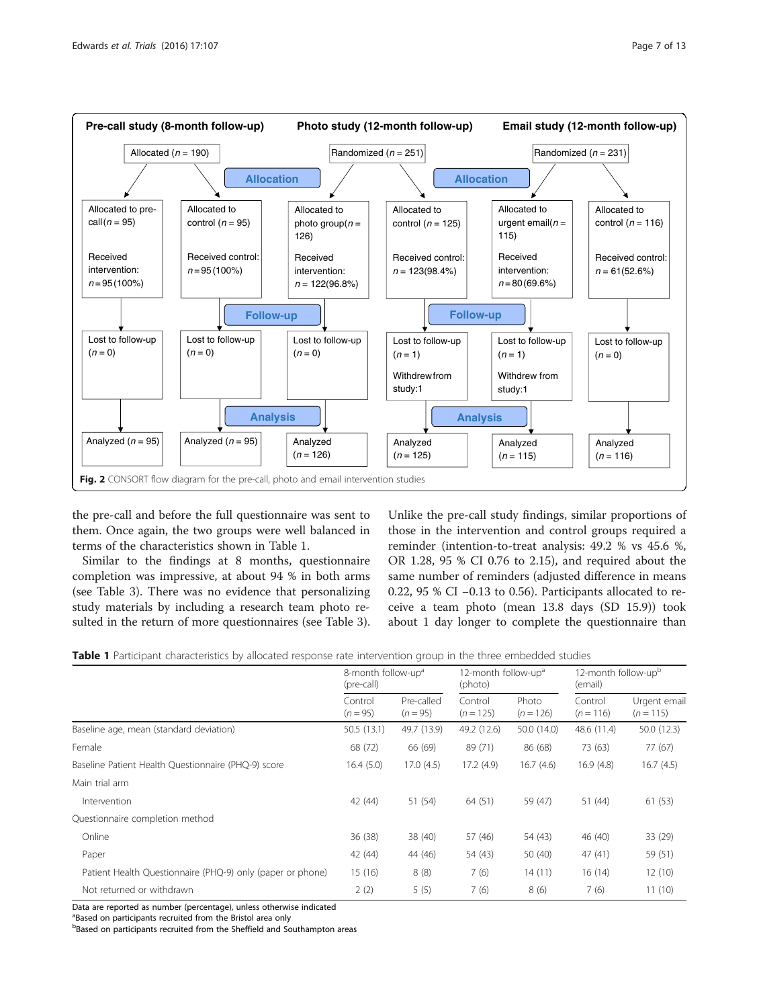

<span id="page-6-0"></span>

the pre-call and before the full questionnaire was sent to them. Once again, the two groups were well balanced in terms of the characteristics shown in Table 1.

Similar to the findings at 8 months, questionnaire completion was impressive, at about 94 % in both arms (see Table [3\)](#page-8-0). There was no evidence that personalizing study materials by including a research team photo resulted in the return of more questionnaires (see Table [3](#page-8-0)). Unlike the pre-call study findings, similar proportions of those in the intervention and control groups required a reminder (intention-to-treat analysis: 49.2 % vs 45.6 %, OR 1.28, 95 % CI 0.76 to 2.15), and required about the same number of reminders (adjusted difference in means 0.22, 95 % CI −0.13 to 0.56). Participants allocated to receive a team photo (mean 13.8 days (SD 15.9)) took about 1 day longer to complete the questionnaire than

|  | <b>Table 1</b> Participant characteristics by allocated response rate intervention group in the three embedded studies |  |  |  |  |
|--|------------------------------------------------------------------------------------------------------------------------|--|--|--|--|
|  |                                                                                                                        |  |  |  |  |

|                                                            | 8-month follow-up <sup>a</sup><br>(pre-call) |                          | 12-month follow-up <sup>a</sup><br>(photo) |                      | 12-month follow-up <sup>b</sup><br>(email) |                             |
|------------------------------------------------------------|----------------------------------------------|--------------------------|--------------------------------------------|----------------------|--------------------------------------------|-----------------------------|
|                                                            | Control<br>$(n = 95)$                        | Pre-called<br>$(n = 95)$ | Control<br>$(n = 125)$                     | Photo<br>$(n = 126)$ | Control<br>$(n = 116)$                     | Urgent email<br>$(n = 115)$ |
| Baseline age, mean (standard deviation)                    | 50.5 (13.1)                                  | 49.7 (13.9)              | 49.2 (12.6)                                | 50.0 (14.0)          | 48.6 (11.4)                                | 50.0(12.3)                  |
| Female                                                     | 68 (72)                                      | 66 (69)                  | 89 (71)                                    | 86 (68)              | 73 (63)                                    | 77 (67)                     |
| Baseline Patient Health Questionnaire (PHQ-9) score        | 16.4(5.0)                                    | 17.0(4.5)                | 17.2(4.9)                                  | 16.7(4.6)            | 16.9(4.8)                                  | 16.7(4.5)                   |
| Main trial arm                                             |                                              |                          |                                            |                      |                                            |                             |
| Intervention                                               | 42 (44)                                      | 51 (54)                  | 64 (51)                                    | 59 (47)              | 51 (44)                                    | 61(53)                      |
| Questionnaire completion method                            |                                              |                          |                                            |                      |                                            |                             |
| Online                                                     | 36 (38)                                      | 38 (40)                  | 57 (46)                                    | 54 (43)              | 46 (40)                                    | 33 (29)                     |
| Paper                                                      | 42 (44)                                      | 44 (46)                  | 54 (43)                                    | 50 (40)              | 47(41)                                     | 59 (51)                     |
| Patient Health Questionnaire (PHQ-9) only (paper or phone) | 15 (16)                                      | 8(8)                     | 7(6)                                       | 14(11)               | 16(14)                                     | 12(10)                      |
| Not returned or withdrawn                                  | 2(2)                                         | 5(5)                     | 7(6)                                       | 8(6)                 | 7(6)                                       | 11(10)                      |

Data are reported as number (percentage), unless otherwise indicated

<sup>a</sup>Based on participants recruited from the Bristol area only

**Based on participants recruited from the Sheffield and Southampton areas**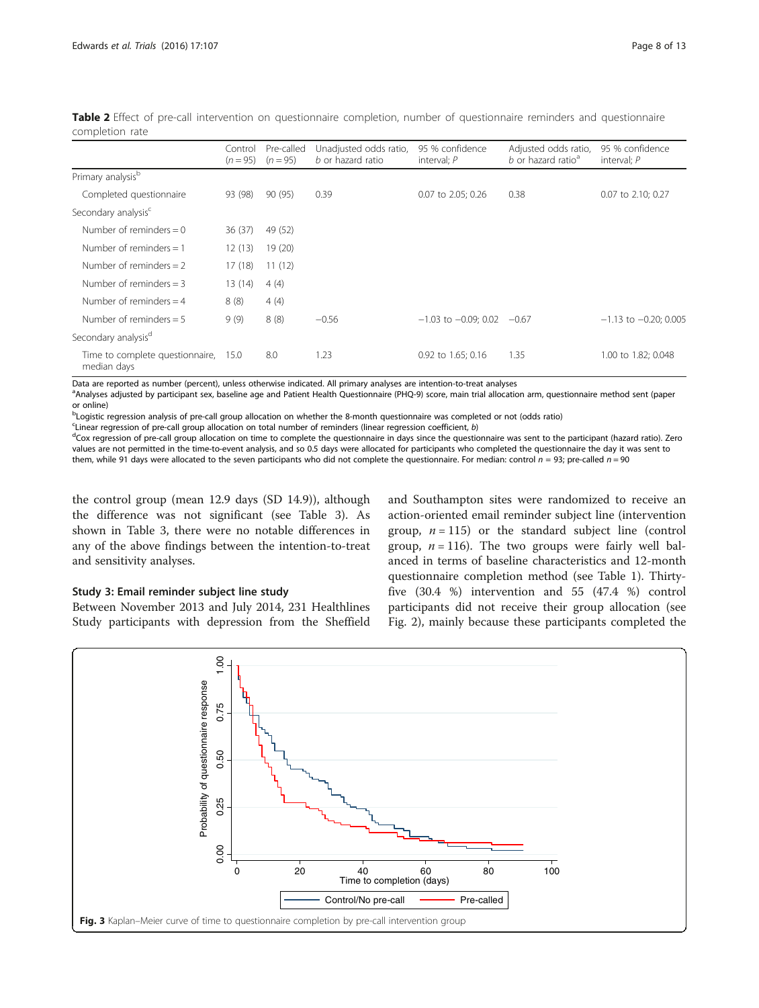|                                                | Control<br>$(n = 95)$ | Pre-called<br>$(n = 95)$ | Unadjusted odds ratio,<br>b or hazard ratio | 95 % confidence<br>interval; $P$ | Adjusted odds ratio,<br>b or hazard ratio <sup>a</sup> | 95 % confidence<br>interval; $P$ |
|------------------------------------------------|-----------------------|--------------------------|---------------------------------------------|----------------------------------|--------------------------------------------------------|----------------------------------|
| Primary analysis <sup>b</sup>                  |                       |                          |                                             |                                  |                                                        |                                  |
| Completed questionnaire                        | 93 (98)               | 90 (95)                  | 0.39                                        | 0.07 to 2.05; 0.26               | 0.38                                                   | 0.07 to 2.10; 0.27               |
| Secondary analysis <sup>c</sup>                |                       |                          |                                             |                                  |                                                        |                                  |
| Number of reminders $= 0$                      | 36(37)                | 49 (52)                  |                                             |                                  |                                                        |                                  |
| Number of reminders $= 1$                      | 12(13)                | 19(20)                   |                                             |                                  |                                                        |                                  |
| Number of reminders $= 2$                      | 17(18)                | 11(12)                   |                                             |                                  |                                                        |                                  |
| Number of reminders $=$ 3                      | 13(14)                | 4(4)                     |                                             |                                  |                                                        |                                  |
| Number of reminders $=$ 4                      | 8(8)                  | 4(4)                     |                                             |                                  |                                                        |                                  |
| Number of reminders $= 5$                      | 9(9)                  | 8(8)                     | $-0.56$                                     | $-1.03$ to $-0.09$ ; 0.02        | $-0.67$                                                | $-1.13$ to $-0.20$ ; 0.005       |
| Secondary analysis <sup>d</sup>                |                       |                          |                                             |                                  |                                                        |                                  |
| Time to complete questionnaire,<br>median days | 15.0                  | 8.0                      | 1.23                                        | 0.92 to 1.65; 0.16               | 1.35                                                   | 1.00 to 1.82; 0.048              |

<span id="page-7-0"></span>Table 2 Effect of pre-call intervention on questionnaire completion, number of questionnaire reminders and questionnaire completion rate

Data are reported as number (percent), unless otherwise indicated. All primary analyses are intention-to-treat analyses

a<br>Analyses adjusted by participant sex, baseline age and Patient Health Questionnaire (PHQ-9) score, main trial allocation arm, questionnaire method sent (paper or online)

b Logistic regression analysis of pre-call group allocation on whether the 8-month questionnaire was completed or not (odds ratio)

<sup>c</sup> Linear regression of pre-call group allocation on total number of reminders (linear regression coefficient, *b*)  $\frac{d}{dx}$  correction of pre-call group allocation on time to complete the quoritionalise in days since t

<sup>d</sup>Cox regression of pre-call group allocation on time to complete the questionnaire in days since the questionnaire was sent to the participant (hazard ratio). Zero values are not permitted in the time-to-event analysis, and so 0.5 days were allocated for participants who completed the questionnaire the day it was sent to them, while 91 days were allocated to the seven participants who did not complete the questionnaire. For median: control  $n = 93$ ; pre-called  $n = 90$ 

the control group (mean 12.9 days (SD 14.9)), although the difference was not significant (see Table [3\)](#page-8-0). As shown in Table [3,](#page-8-0) there were no notable differences in any of the above findings between the intention-to-treat and sensitivity analyses.

# Study 3: Email reminder subject line study

Between November 2013 and July 2014, 231 Healthlines Study participants with depression from the Sheffield

and Southampton sites were randomized to receive an action-oriented email reminder subject line (intervention group,  $n = 115$ ) or the standard subject line (control group,  $n = 116$ ). The two groups were fairly well balanced in terms of baseline characteristics and 12-month questionnaire completion method (see Table [1](#page-6-0)). Thirtyfive (30.4 %) intervention and 55 (47.4 %) control participants did not receive their group allocation (see Fig. [2\)](#page-6-0), mainly because these participants completed the

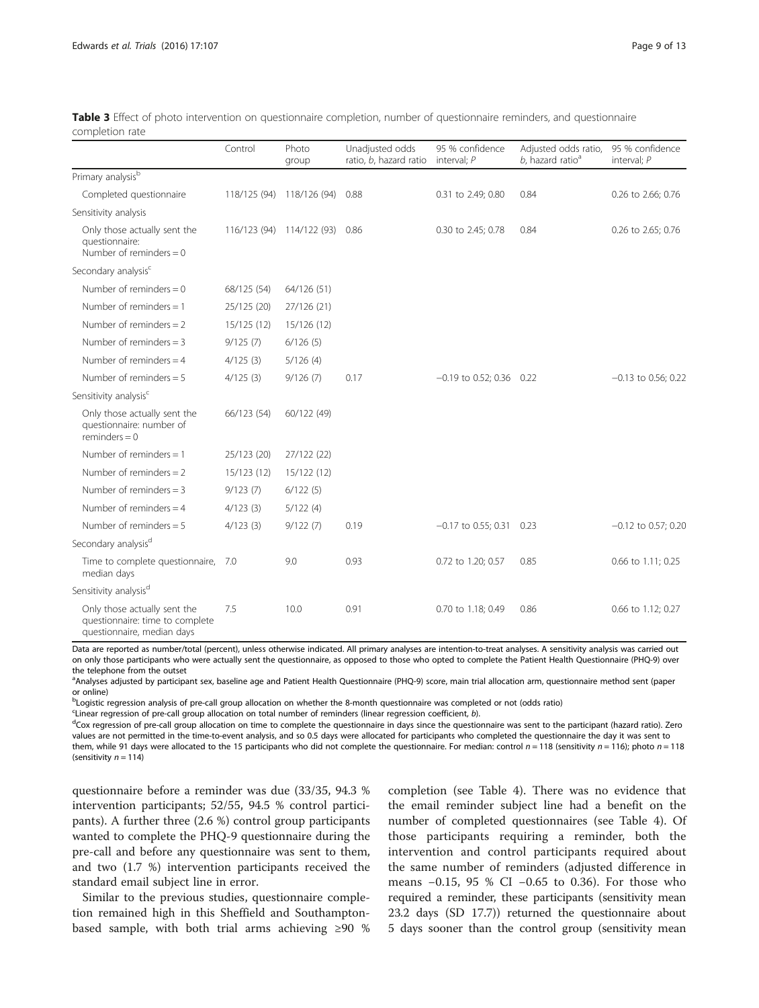|                                                                                               | Control      | Photo<br>group    | Unadjusted odds<br>ratio, b, hazard ratio | 95 % confidence<br>interval: $P$ | Adjusted odds ratio,<br>$b$ , hazard ratio <sup>a</sup> | 95 % confidence<br>interval: $P$ |
|-----------------------------------------------------------------------------------------------|--------------|-------------------|-------------------------------------------|----------------------------------|---------------------------------------------------------|----------------------------------|
| Primary analysis <sup>b</sup>                                                                 |              |                   |                                           |                                  |                                                         |                                  |
| Completed questionnaire                                                                       | 118/125 (94) | 118/126 (94)      | 0.88                                      | 0.31 to 2.49; 0.80               | 0.84                                                    | 0.26 to 2.66; 0.76               |
| Sensitivity analysis                                                                          |              |                   |                                           |                                  |                                                         |                                  |
| Only those actually sent the<br>questionnaire:<br>Number of reminders $= 0$                   | 116/123 (94) | 114/122 (93) 0.86 |                                           | 0.30 to 2.45; 0.78               | 0.84                                                    | 0.26 to 2.65; 0.76               |
| Secondary analysis <sup>c</sup>                                                               |              |                   |                                           |                                  |                                                         |                                  |
| Number of reminders $= 0$                                                                     | 68/125 (54)  | 64/126 (51)       |                                           |                                  |                                                         |                                  |
| Number of reminders $= 1$                                                                     | 25/125 (20)  | 27/126 (21)       |                                           |                                  |                                                         |                                  |
| Number of reminders $= 2$                                                                     | 15/125 (12)  | 15/126 (12)       |                                           |                                  |                                                         |                                  |
| Number of reminders $=$ 3                                                                     | 9/125(7)     | 6/126(5)          |                                           |                                  |                                                         |                                  |
| Number of reminders $=$ 4                                                                     | 4/125(3)     | 5/126(4)          |                                           |                                  |                                                         |                                  |
| Number of reminders $= 5$                                                                     | 4/125(3)     | 9/126(7)          | 0.17                                      | $-0.19$ to 0.52; 0.36 0.22       |                                                         | $-0.13$ to 0.56; 0.22            |
| Sensitivity analysis <sup>c</sup>                                                             |              |                   |                                           |                                  |                                                         |                                  |
| Only those actually sent the<br>questionnaire: number of<br>$reminders = 0$                   | 66/123 (54)  | 60/122 (49)       |                                           |                                  |                                                         |                                  |
| Number of reminders $= 1$                                                                     | 25/123 (20)  | 27/122 (22)       |                                           |                                  |                                                         |                                  |
| Number of reminders $= 2$                                                                     | 15/123 (12)  | 15/122 (12)       |                                           |                                  |                                                         |                                  |
| Number of reminders $=$ 3                                                                     | 9/123(7)     | 6/122(5)          |                                           |                                  |                                                         |                                  |
| Number of reminders $=$ 4                                                                     | 4/123(3)     | 5/122(4)          |                                           |                                  |                                                         |                                  |
| Number of reminders $= 5$                                                                     | 4/123(3)     | 9/122(7)          | 0.19                                      | $-0.17$ to 0.55; 0.31            | 0.23                                                    | $-0.12$ to 0.57; 0.20            |
| Secondary analysis <sup>d</sup>                                                               |              |                   |                                           |                                  |                                                         |                                  |
| Time to complete questionnaire,<br>median days                                                | 7.0          | 9.0               | 0.93                                      | 0.72 to 1.20; 0.57               | 0.85                                                    | 0.66 to 1.11; 0.25               |
| Sensitivity analysis <sup>d</sup>                                                             |              |                   |                                           |                                  |                                                         |                                  |
| Only those actually sent the<br>questionnaire: time to complete<br>questionnaire, median days | 7.5          | 10.0              | 0.91                                      | 0.70 to 1.18; 0.49               | 0.86                                                    | 0.66 to 1.12; 0.27               |

<span id="page-8-0"></span>

| Table 3 Effect of photo intervention on questionnaire completion, number of questionnaire reminders, and questionnaire |  |  |  |  |  |
|------------------------------------------------------------------------------------------------------------------------|--|--|--|--|--|
| completion rate                                                                                                        |  |  |  |  |  |

Data are reported as number/total (percent), unless otherwise indicated. All primary analyses are intention-to-treat analyses. A sensitivity analysis was carried out on only those participants who were actually sent the questionnaire, as opposed to those who opted to complete the Patient Health Questionnaire (PHQ-9) over the telephone from the outset

a<br>Analyses adjusted by participant sex, baseline age and Patient Health Questionnaire (PHQ-9) score, main trial allocation arm, questionnaire method sent (paper or online)

bLogistic regression analysis of pre-call group allocation on whether the 8-month questionnaire was completed or not (odds ratio)

Clinear regression of pre-call group allocation on total number of reminders (linear regression coefficient, b).

<sup>d</sup>Cox regression of pre-call group allocation on time to complete the questionnaire in days since the questionnaire was sent to the participant (hazard ratio). Zero values are not permitted in the time-to-event analysis, and so 0.5 days were allocated for participants who completed the questionnaire the day it was sent to them, while 91 days were allocated to the 15 participants who did not complete the questionnaire. For median: control  $n = 118$  (sensitivity  $n = 116$ ); photo  $n = 118$ (sensitivity  $n = 114$ )

questionnaire before a reminder was due (33/35, 94.3 % intervention participants; 52/55, 94.5 % control participants). A further three (2.6 %) control group participants wanted to complete the PHQ-9 questionnaire during the pre-call and before any questionnaire was sent to them, and two (1.7 %) intervention participants received the standard email subject line in error.

Similar to the previous studies, questionnaire completion remained high in this Sheffield and Southamptonbased sample, with both trial arms achieving ≥90 %

completion (see Table [4\)](#page-9-0). There was no evidence that the email reminder subject line had a benefit on the number of completed questionnaires (see Table [4\)](#page-9-0). Of those participants requiring a reminder, both the intervention and control participants required about the same number of reminders (adjusted difference in means −0.15, 95 % CI −0.65 to 0.36). For those who required a reminder, these participants (sensitivity mean 23.2 days (SD 17.7)) returned the questionnaire about 5 days sooner than the control group (sensitivity mean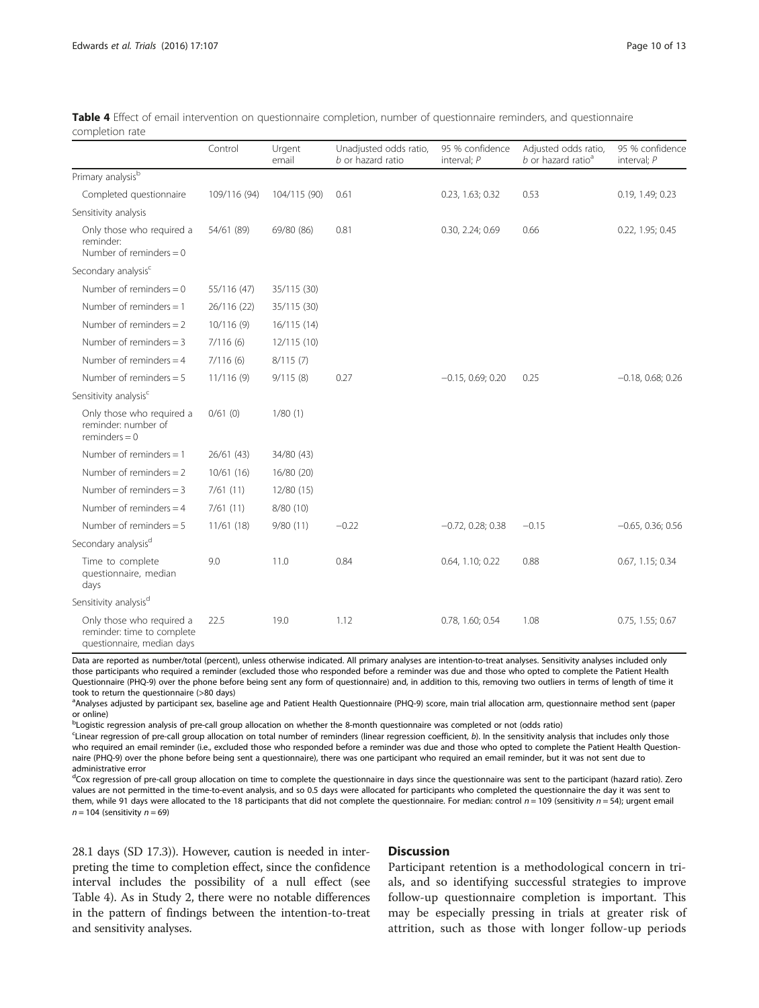|                                                                                       | Control      | Urgent<br>email | Unadjusted odds ratio,<br>b or hazard ratio | 95 % confidence<br>interval; P | Adjusted odds ratio,<br>$b$ or hazard ratio <sup>a</sup> | 95 % confidence<br>interval; $P$ |
|---------------------------------------------------------------------------------------|--------------|-----------------|---------------------------------------------|--------------------------------|----------------------------------------------------------|----------------------------------|
| Primary analysis <sup>b</sup>                                                         |              |                 |                                             |                                |                                                          |                                  |
| Completed questionnaire                                                               | 109/116 (94) | 104/115 (90)    | 0.61                                        | 0.23, 1.63; 0.32               | 0.53                                                     | 0.19, 1.49; 0.23                 |
| Sensitivity analysis                                                                  |              |                 |                                             |                                |                                                          |                                  |
| Only those who required a<br>reminder:<br>Number of reminders $= 0$                   | 54/61 (89)   | 69/80 (86)      | 0.81                                        | 0.30, 2.24; 0.69               | 0.66                                                     | 0.22, 1.95; 0.45                 |
| Secondary analysis <sup>c</sup>                                                       |              |                 |                                             |                                |                                                          |                                  |
| Number of reminders $= 0$                                                             | 55/116 (47)  | 35/115 (30)     |                                             |                                |                                                          |                                  |
| Number of reminders $= 1$                                                             | 26/116 (22)  | 35/115 (30)     |                                             |                                |                                                          |                                  |
| Number of reminders $= 2$                                                             | 10/116(9)    | 16/115 (14)     |                                             |                                |                                                          |                                  |
| Number of reminders $=$ 3                                                             | 7/116(6)     | 12/115(10)      |                                             |                                |                                                          |                                  |
| Number of reminders = $4$                                                             | 7/116(6)     | 8/115(7)        |                                             |                                |                                                          |                                  |
| Number of reminders $= 5$                                                             | 11/116(9)    | 9/115(8)        | 0.27                                        | $-0.15$ , 0.69; 0.20           | 0.25                                                     | $-0.18, 0.68; 0.26$              |
| Sensitivity analysis <sup>c</sup>                                                     |              |                 |                                             |                                |                                                          |                                  |
| Only those who required a<br>reminder: number of<br>$reminders = 0$                   | 0/61(0)      | 1/80(1)         |                                             |                                |                                                          |                                  |
| Number of reminders $= 1$                                                             | 26/61 (43)   | 34/80 (43)      |                                             |                                |                                                          |                                  |
| Number of reminders $= 2$                                                             | 10/61(16)    | 16/80 (20)      |                                             |                                |                                                          |                                  |
| Number of reminders $=$ 3                                                             | 7/61(11)     | 12/80 (15)      |                                             |                                |                                                          |                                  |
| Number of reminders = $4$                                                             | 7/61(11)     | 8/80 (10)       |                                             |                                |                                                          |                                  |
| Number of reminders $= 5$                                                             | 11/61(18)    | 9/80(11)        | $-0.22$                                     | $-0.72$ , 0.28; 0.38           | $-0.15$                                                  | $-0.65$ , 0.36; 0.56             |
| Secondary analysis <sup>d</sup>                                                       |              |                 |                                             |                                |                                                          |                                  |
| Time to complete<br>questionnaire, median<br>days                                     | 9.0          | 11.0            | 0.84                                        | 0.64, 1.10; 0.22               | 0.88                                                     | 0.67, 1.15; 0.34                 |
| Sensitivity analysis <sup>d</sup>                                                     |              |                 |                                             |                                |                                                          |                                  |
| Only those who required a<br>reminder: time to complete<br>questionnaire, median days | 22.5         | 19.0            | 1.12                                        | 0.78, 1.60; 0.54               | 1.08                                                     | 0.75, 1.55; 0.67                 |

<span id="page-9-0"></span>

|                 | Table 4 Effect of email intervention on questionnaire completion, number of questionnaire reminders, and questionnaire |  |  |  |  |
|-----------------|------------------------------------------------------------------------------------------------------------------------|--|--|--|--|
| completion rate |                                                                                                                        |  |  |  |  |

Data are reported as number/total (percent), unless otherwise indicated. All primary analyses are intention-to-treat analyses. Sensitivity analyses included only those participants who required a reminder (excluded those who responded before a reminder was due and those who opted to complete the Patient Health Questionnaire (PHQ-9) over the phone before being sent any form of questionnaire) and, in addition to this, removing two outliers in terms of length of time it took to return the questionnaire (>80 days)

a<br>Analyses adjusted by participant sex, baseline age and Patient Health Questionnaire (PHQ-9) score, main trial allocation arm, questionnaire method sent (paper or online)

b Logistic regression analysis of pre-call group allocation on whether the 8-month questionnaire was completed or not (odds ratio)

<sup>c</sup>Linear regression of pre-call group allocation on total number of reminders (linear regression coefficient, b). In the sensitivity analysis that includes only those who required an email reminder (i.e., excluded those who responded before a reminder was due and those who opted to complete the Patient Health Questionnaire (PHQ-9) over the phone before being sent a questionnaire), there was one participant who required an email reminder, but it was not sent due to administrative error

<sup>d</sup>Cox regression of pre-call group allocation on time to complete the questionnaire in days since the questionnaire was sent to the participant (hazard ratio). Zero values are not permitted in the time-to-event analysis, and so 0.5 days were allocated for participants who completed the questionnaire the day it was sent to them, while 91 days were allocated to the 18 participants that did not complete the questionnaire. For median: control  $n = 109$  (sensitivity  $n = 54$ ); urgent email  $n = 104$  (sensitivity  $n = 69$ )

28.1 days (SD 17.3)). However, caution is needed in interpreting the time to completion effect, since the confidence interval includes the possibility of a null effect (see Table 4). As in Study 2, there were no notable differences in the pattern of findings between the intention-to-treat and sensitivity analyses.

#### **Discussion**

Participant retention is a methodological concern in trials, and so identifying successful strategies to improve follow-up questionnaire completion is important. This may be especially pressing in trials at greater risk of attrition, such as those with longer follow-up periods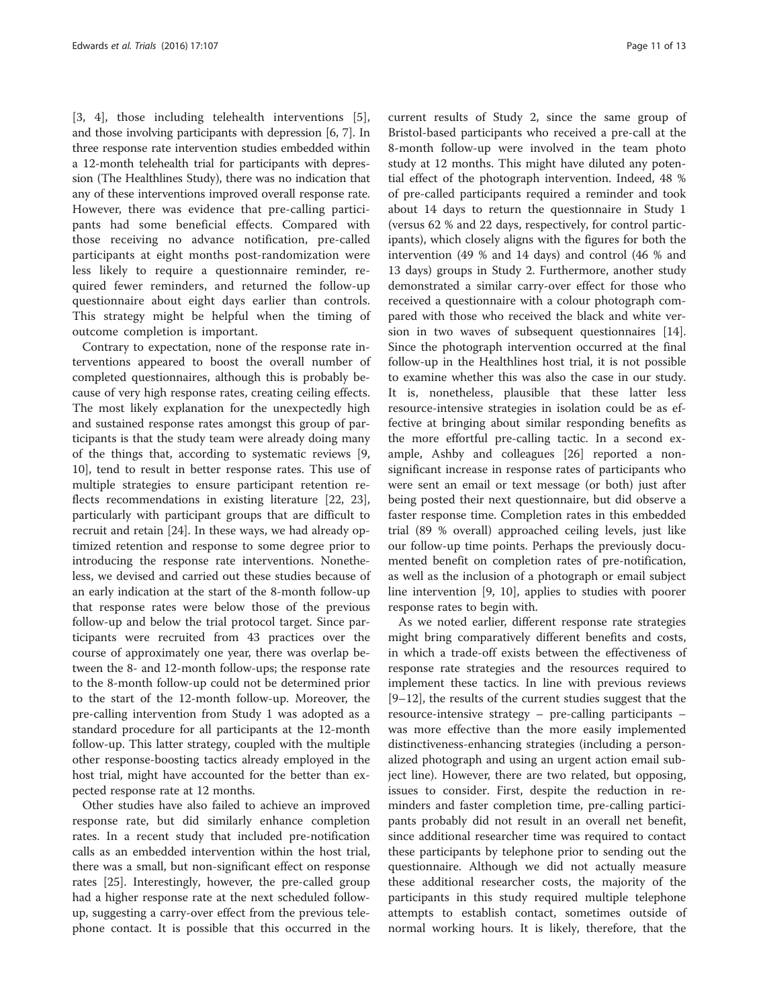[[3, 4](#page-12-0)], those including telehealth interventions [[5](#page-12-0)], and those involving participants with depression [[6, 7\]](#page-12-0). In three response rate intervention studies embedded within a 12-month telehealth trial for participants with depression (The Healthlines Study), there was no indication that any of these interventions improved overall response rate. However, there was evidence that pre-calling participants had some beneficial effects. Compared with those receiving no advance notification, pre-called participants at eight months post-randomization were less likely to require a questionnaire reminder, required fewer reminders, and returned the follow-up questionnaire about eight days earlier than controls. This strategy might be helpful when the timing of outcome completion is important.

Contrary to expectation, none of the response rate interventions appeared to boost the overall number of completed questionnaires, although this is probably because of very high response rates, creating ceiling effects. The most likely explanation for the unexpectedly high and sustained response rates amongst this group of participants is that the study team were already doing many of the things that, according to systematic reviews [\[9](#page-12-0), [10\]](#page-12-0), tend to result in better response rates. This use of multiple strategies to ensure participant retention reflects recommendations in existing literature [\[22, 23](#page-12-0)], particularly with participant groups that are difficult to recruit and retain [[24](#page-12-0)]. In these ways, we had already optimized retention and response to some degree prior to introducing the response rate interventions. Nonetheless, we devised and carried out these studies because of an early indication at the start of the 8-month follow-up that response rates were below those of the previous follow-up and below the trial protocol target. Since participants were recruited from 43 practices over the course of approximately one year, there was overlap between the 8- and 12-month follow-ups; the response rate to the 8-month follow-up could not be determined prior to the start of the 12-month follow-up. Moreover, the pre-calling intervention from Study 1 was adopted as a standard procedure for all participants at the 12-month follow-up. This latter strategy, coupled with the multiple other response-boosting tactics already employed in the host trial, might have accounted for the better than expected response rate at 12 months.

Other studies have also failed to achieve an improved response rate, but did similarly enhance completion rates. In a recent study that included pre-notification calls as an embedded intervention within the host trial, there was a small, but non-significant effect on response rates [\[25](#page-12-0)]. Interestingly, however, the pre-called group had a higher response rate at the next scheduled followup, suggesting a carry-over effect from the previous telephone contact. It is possible that this occurred in the current results of Study 2, since the same group of Bristol-based participants who received a pre-call at the 8-month follow-up were involved in the team photo study at 12 months. This might have diluted any potential effect of the photograph intervention. Indeed, 48 % of pre-called participants required a reminder and took about 14 days to return the questionnaire in Study 1 (versus 62 % and 22 days, respectively, for control participants), which closely aligns with the figures for both the intervention (49 % and 14 days) and control (46 % and 13 days) groups in Study 2. Furthermore, another study demonstrated a similar carry-over effect for those who received a questionnaire with a colour photograph compared with those who received the black and white version in two waves of subsequent questionnaires [\[14](#page-12-0)]. Since the photograph intervention occurred at the final follow-up in the Healthlines host trial, it is not possible to examine whether this was also the case in our study. It is, nonetheless, plausible that these latter less resource-intensive strategies in isolation could be as effective at bringing about similar responding benefits as the more effortful pre-calling tactic. In a second example, Ashby and colleagues [\[26](#page-12-0)] reported a nonsignificant increase in response rates of participants who were sent an email or text message (or both) just after being posted their next questionnaire, but did observe a faster response time. Completion rates in this embedded trial (89 % overall) approached ceiling levels, just like our follow-up time points. Perhaps the previously documented benefit on completion rates of pre-notification, as well as the inclusion of a photograph or email subject line intervention [\[9](#page-12-0), [10](#page-12-0)], applies to studies with poorer response rates to begin with.

As we noted earlier, different response rate strategies might bring comparatively different benefits and costs, in which a trade-off exists between the effectiveness of response rate strategies and the resources required to implement these tactics. In line with previous reviews [[9](#page-12-0)–[12\]](#page-12-0), the results of the current studies suggest that the resource-intensive strategy – pre-calling participants – was more effective than the more easily implemented distinctiveness-enhancing strategies (including a personalized photograph and using an urgent action email subject line). However, there are two related, but opposing, issues to consider. First, despite the reduction in reminders and faster completion time, pre-calling participants probably did not result in an overall net benefit, since additional researcher time was required to contact these participants by telephone prior to sending out the questionnaire. Although we did not actually measure these additional researcher costs, the majority of the participants in this study required multiple telephone attempts to establish contact, sometimes outside of normal working hours. It is likely, therefore, that the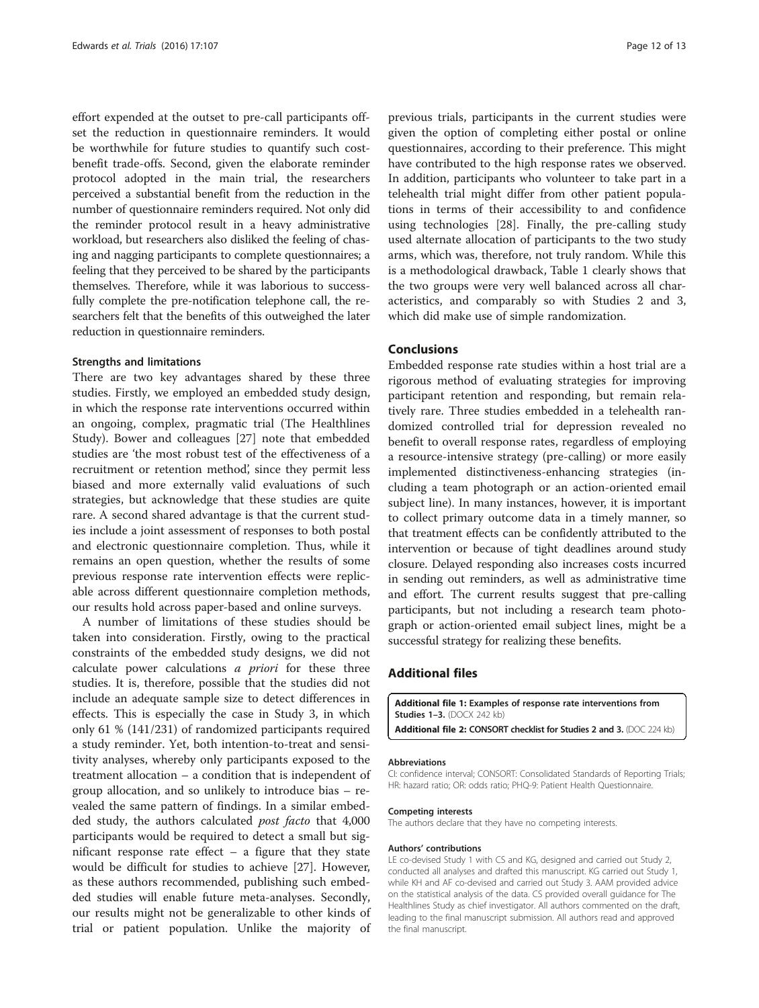<span id="page-11-0"></span>effort expended at the outset to pre-call participants offset the reduction in questionnaire reminders. It would be worthwhile for future studies to quantify such costbenefit trade-offs. Second, given the elaborate reminder protocol adopted in the main trial, the researchers perceived a substantial benefit from the reduction in the number of questionnaire reminders required. Not only did the reminder protocol result in a heavy administrative workload, but researchers also disliked the feeling of chasing and nagging participants to complete questionnaires; a feeling that they perceived to be shared by the participants themselves. Therefore, while it was laborious to successfully complete the pre-notification telephone call, the researchers felt that the benefits of this outweighed the later reduction in questionnaire reminders.

#### Strengths and limitations

There are two key advantages shared by these three studies. Firstly, we employed an embedded study design, in which the response rate interventions occurred within an ongoing, complex, pragmatic trial (The Healthlines Study). Bower and colleagues [\[27](#page-12-0)] note that embedded studies are 'the most robust test of the effectiveness of a recruitment or retention method', since they permit less biased and more externally valid evaluations of such strategies, but acknowledge that these studies are quite rare. A second shared advantage is that the current studies include a joint assessment of responses to both postal and electronic questionnaire completion. Thus, while it remains an open question, whether the results of some previous response rate intervention effects were replicable across different questionnaire completion methods, our results hold across paper-based and online surveys.

A number of limitations of these studies should be taken into consideration. Firstly, owing to the practical constraints of the embedded study designs, we did not calculate power calculations a priori for these three studies. It is, therefore, possible that the studies did not include an adequate sample size to detect differences in effects. This is especially the case in Study 3, in which only 61 % (141/231) of randomized participants required a study reminder. Yet, both intention-to-treat and sensitivity analyses, whereby only participants exposed to the treatment allocation – a condition that is independent of group allocation, and so unlikely to introduce bias – revealed the same pattern of findings. In a similar embedded study, the authors calculated post facto that 4,000 participants would be required to detect a small but significant response rate effect  $-$  a figure that they state would be difficult for studies to achieve [\[27](#page-12-0)]. However, as these authors recommended, publishing such embedded studies will enable future meta-analyses. Secondly, our results might not be generalizable to other kinds of trial or patient population. Unlike the majority of

previous trials, participants in the current studies were given the option of completing either postal or online questionnaires, according to their preference. This might have contributed to the high response rates we observed. In addition, participants who volunteer to take part in a telehealth trial might differ from other patient populations in terms of their accessibility to and confidence using technologies [\[28](#page-12-0)]. Finally, the pre-calling study used alternate allocation of participants to the two study arms, which was, therefore, not truly random. While this is a methodological drawback, Table [1](#page-6-0) clearly shows that the two groups were very well balanced across all characteristics, and comparably so with Studies 2 and 3, which did make use of simple randomization.

# Conclusions

Embedded response rate studies within a host trial are a rigorous method of evaluating strategies for improving participant retention and responding, but remain relatively rare. Three studies embedded in a telehealth randomized controlled trial for depression revealed no benefit to overall response rates, regardless of employing a resource-intensive strategy (pre-calling) or more easily implemented distinctiveness-enhancing strategies (including a team photograph or an action-oriented email subject line). In many instances, however, it is important to collect primary outcome data in a timely manner, so that treatment effects can be confidently attributed to the intervention or because of tight deadlines around study closure. Delayed responding also increases costs incurred in sending out reminders, as well as administrative time and effort. The current results suggest that pre-calling participants, but not including a research team photograph or action-oriented email subject lines, might be a successful strategy for realizing these benefits.

# Additional files

[Additional file 1:](dx.doi.org/10.1186/s13063-016-1234-3) Examples of response rate interventions from Studies 1–3. (DOCX 242 kb)

# [Additional file 2:](dx.doi.org/10.1186/s13063-016-1234-3) CONSORT checklist for Studies 2 and 3. (DOC 224 kb)

#### Abbreviations

CI: confidence interval; CONSORT: Consolidated Standards of Reporting Trials; HR: hazard ratio; OR: odds ratio; PHQ-9: Patient Health Questionnaire.

#### Competing interests

The authors declare that they have no competing interests.

#### Authors' contributions

LE co-devised Study 1 with CS and KG, designed and carried out Study 2, conducted all analyses and drafted this manuscript. KG carried out Study 1, while KH and AF co-devised and carried out Study 3. AAM provided advice on the statistical analysis of the data. CS provided overall guidance for The Healthlines Study as chief investigator. All authors commented on the draft, leading to the final manuscript submission. All authors read and approved the final manuscript.